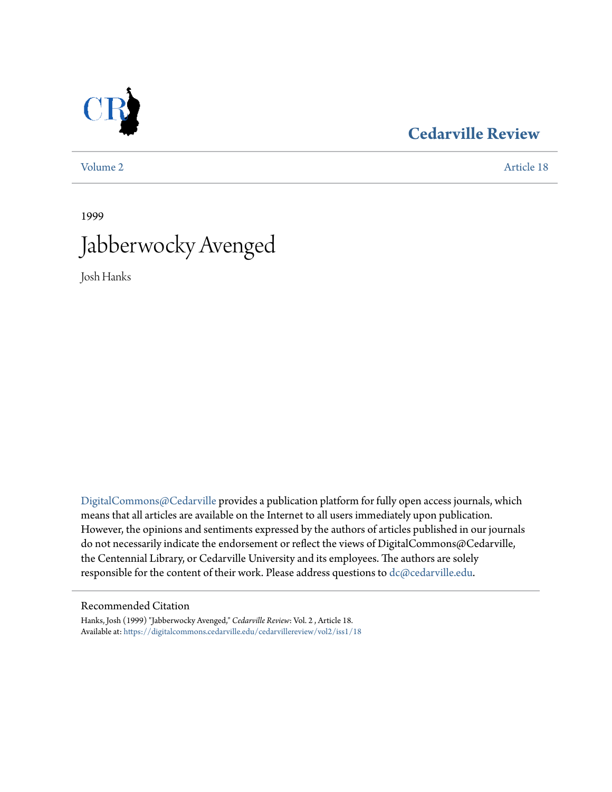

### **[Cedarville Review](https://digitalcommons.cedarville.edu/cedarvillereview?utm_source=digitalcommons.cedarville.edu%2Fcedarvillereview%2Fvol2%2Fiss1%2F18&utm_medium=PDF&utm_campaign=PDFCoverPages)**

[Volume 2](https://digitalcommons.cedarville.edu/cedarvillereview/vol2?utm_source=digitalcommons.cedarville.edu%2Fcedarvillereview%2Fvol2%2Fiss1%2F18&utm_medium=PDF&utm_campaign=PDFCoverPages) [Article 18](https://digitalcommons.cedarville.edu/cedarvillereview/vol2/iss1/18?utm_source=digitalcommons.cedarville.edu%2Fcedarvillereview%2Fvol2%2Fiss1%2F18&utm_medium=PDF&utm_campaign=PDFCoverPages)

## 1999 Jabberwocky Avenged

Josh Hanks

[DigitalCommons@Cedarville](http://digitalcommons.cedarville.edu) provides a publication platform for fully open access journals, which means that all articles are available on the Internet to all users immediately upon publication. However, the opinions and sentiments expressed by the authors of articles published in our journals do not necessarily indicate the endorsement or reflect the views of DigitalCommons@Cedarville, the Centennial Library, or Cedarville University and its employees. The authors are solely responsible for the content of their work. Please address questions to [dc@cedarville.edu](mailto:dc@cedarville.edu).

#### Recommended Citation

Hanks, Josh (1999) "Jabberwocky Avenged," *Cedarville Review*: Vol. 2 , Article 18. Available at: [https://digitalcommons.cedarville.edu/cedarvillereview/vol2/iss1/18](https://digitalcommons.cedarville.edu/cedarvillereview/vol2/iss1/18?utm_source=digitalcommons.cedarville.edu%2Fcedarvillereview%2Fvol2%2Fiss1%2F18&utm_medium=PDF&utm_campaign=PDFCoverPages)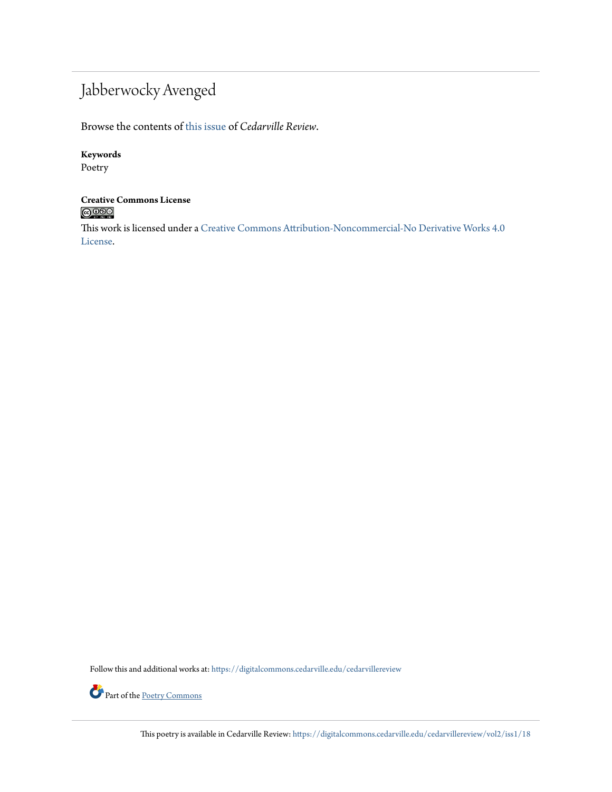## Jabberwocky Avenged

Browse the contents of [this issue](https://digitalcommons.cedarville.edu/cedarvillereview/vol2/iss1) of *Cedarville Review*.

#### **Keywords**

Poetry

# **Creative Commons License**<br> **C** 000

This work is licensed under a [Creative Commons Attribution-Noncommercial-No Derivative Works 4.0](http://creativecommons.org/licenses/by-nc-nd/4.0/) [License.](http://creativecommons.org/licenses/by-nc-nd/4.0/)

Follow this and additional works at: [https://digitalcommons.cedarville.edu/cedarvillereview](https://digitalcommons.cedarville.edu/cedarvillereview?utm_source=digitalcommons.cedarville.edu%2Fcedarvillereview%2Fvol2%2Fiss1%2F18&utm_medium=PDF&utm_campaign=PDFCoverPages)



This poetry is available in Cedarville Review: [https://digitalcommons.cedarville.edu/cedarvillereview/vol2/iss1/18](https://digitalcommons.cedarville.edu/cedarvillereview/vol2/iss1/18?utm_source=digitalcommons.cedarville.edu%2Fcedarvillereview%2Fvol2%2Fiss1%2F18&utm_medium=PDF&utm_campaign=PDFCoverPages)